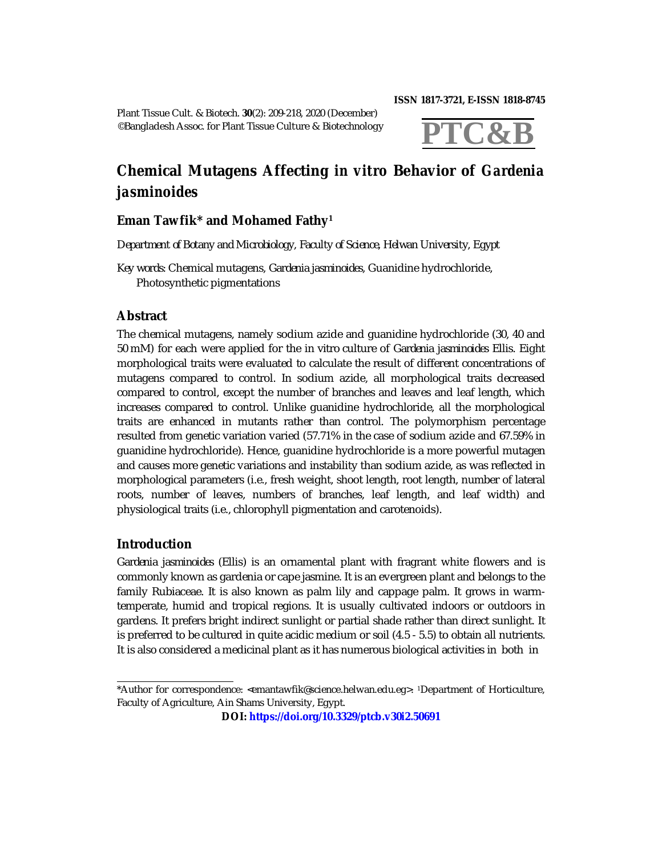**ISSN 1817-3721, E-ISSN 1818-8745** 

Plant Tissue Cult. & Biotech. **30**(2): 209-218, 2020 (December) ©Bangladesh Assoc. for Plant Tissue Culture & Biotechnology



# **Chemical Mutagens Affecting** *in vitro* **Behavior of** *Gardenia jasminoides*

## **Eman Tawfik\* and Mohamed Fathy<sup>1</sup>**

*Department of Botany and Microbiology, Faculty of Science, Helwan University, Egypt*

*Key words:* Chemical mutagens, *Gardenia jasminoides*, Guanidine hydrochloride, Photosynthetic pigmentations

## **Abstract**

The chemical mutagens, namely sodium azide and guanidine hydrochloride (30, 40 and 50 mM) for each were applied for the *in vitro* culture of *Gardenia jasminoides* Ellis*.* Eight morphological traits were evaluated to calculate the result of different concentrations of mutagens compared to control. In sodium azide, all morphological traits decreased compared to control, except the number of branches and leaves and leaf length, which increases compared to control. Unlike guanidine hydrochloride, all the morphological traits are enhanced in mutants rather than control. The polymorphism percentage resulted from genetic variation varied (57.71% in the case of sodium azide and 67.59% in guanidine hydrochloride). Hence, guanidine hydrochloride is a more powerful mutagen and causes more genetic variations and instability than sodium azide, as was reflected in morphological parameters (i.e., fresh weight, shoot length, root length, number of lateral roots, number of leaves, numbers of branches, leaf length, and leaf width) and physiological traits (i.e., chlorophyll pigmentation and carotenoids).

## **Introduction**

*Gardenia jasminoides* (Ellis) is an ornamental plant with fragrant white flowers and is commonly known as gardenia or cape jasmine. It is an evergreen plant and belongs to the family Rubiaceae. It is also known as palm lily and cappage palm. It grows in warmtemperate, humid and tropical regions. It is usually cultivated indoors or outdoors in gardens. It prefers bright indirect sunlight or partial shade rather than direct sunlight. It is preferred to be cultured in quite acidic medium or soil (4.5 - 5.5) to obtain all nutrients. It is also considered a medicinal plant as it has numerous biological activities in both *in* 

**DOI: <https://doi.org/10.3329/ptcb.v30i2.50691>**

<sup>\*</sup>Author for correspondence: <[emantawfik@science.helwan.edu.eg>](mailto:emantawfik@science.helwan.edu.eg). 1Department of Horticulture, Faculty of Agriculture, Ain Shams University, Egypt.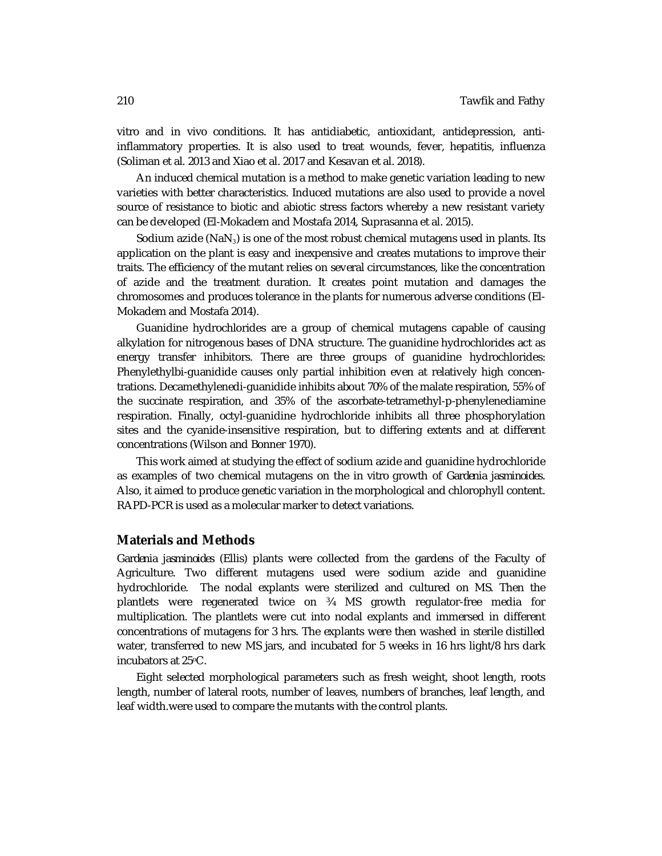*vitro* and *in vivo* conditions. It has antidiabetic, antioxidant, antidepression, antiinflammatory properties. It is also used to treat wounds, fever, hepatitis, influenza (Soliman et al. 2013 and Xiao et al. 2017 and Kesavan et al. 2018).

An induced chemical mutation is a method to make genetic variation leading to new varieties with better characteristics. Induced mutations are also used to provide a novel source of resistance to biotic and abiotic stress factors whereby a new resistant variety can be developed (El-Mokadem and Mostafa 2014, Suprasanna et al. 2015).

Sodium azide ( $NaN<sub>3</sub>$ ) is one of the most robust chemical mutagens used in plants. Its application on the plant is easy and inexpensive and creates mutations to improve their traits. The efficiency of the mutant relies on several circumstances, like the concentration of azide and the treatment duration. It creates point mutation and damages the chromosomes and produces tolerance in the plants for numerous adverse conditions (El-Mokadem and Mostafa 2014).

Guanidine hydrochlorides are a group of chemical mutagens capable of causing alkylation for nitrogenous bases of DNA structure. The guanidine hydrochlorides act as energy transfer inhibitors. There are three groups of guanidine hydrochlorides: Phenylethylbi-guanidide causes only partial inhibition even at relatively high concentrations. Decamethylenedi-guanidide inhibits about 70% of the malate respiration, 55% of the succinate respiration, and 35% of the ascorbate-tetramethyl-p-phenylenediamine respiration. Finally, octyl-guanidine hydrochloride inhibits all three phosphorylation sites and the cyanide-insensitive respiration, but to differing extents and at different concentrations (Wilson and Bonner 1970).

This work aimed at studying the effect of sodium azide and guanidine hydrochloride as examples of two chemical mutagens on the *in vitro* growth of *Gardenia jasminoides*. Also, it aimed to produce genetic variation in the morphological and chlorophyll content. RAPD-PCR is used as a molecular marker to detect variations.

### **Materials and Methods**

*Gardenia jasminoides (*Ellis) plants were collected from the gardens of the Faculty of Agriculture. Two different mutagens used were sodium azide and guanidine hydrochloride. The nodal explants were sterilized and cultured on MS. Then the plantlets were regenerated twice on ¾ MS growth regulator-free media for multiplication. The plantlets were cut into nodal explants and immersed in different concentrations of mutagens for 3 hrs. The explants were then washed in sterile distilled water, transferred to new MS jars, and incubated for 5 weeks in 16 hrs light/8 hrs dark incubators at 25oC.

Eight selected morphological parameters such as fresh weight, shoot length, roots length, number of lateral roots, number of leaves, numbers of branches, leaf length, and leaf width.were used to compare the mutants with the control plants.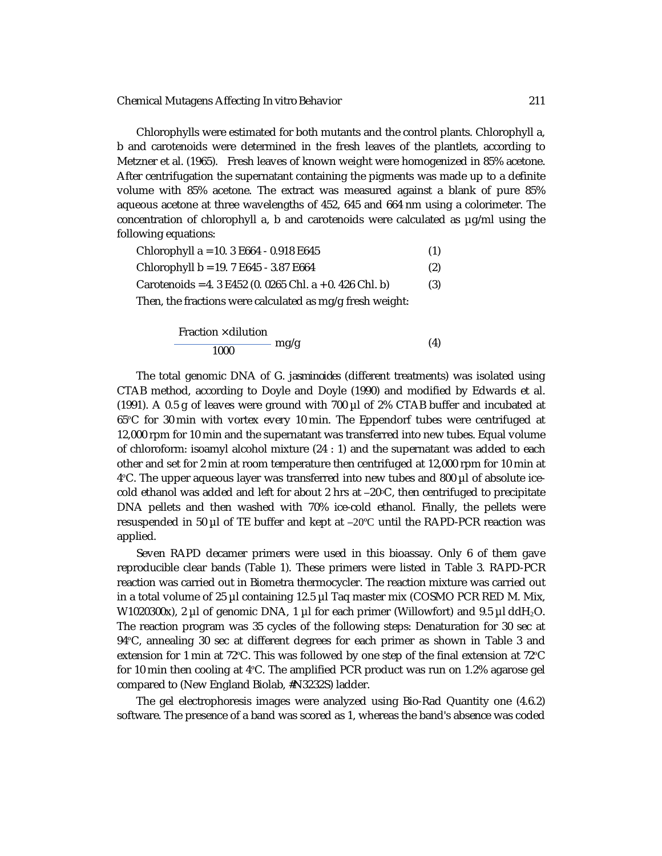Chlorophylls were estimated for both mutants and the control plants. Chlorophyll a, b and carotenoids were determined in the fresh leaves of the plantlets, according to Metzner et al. (1965). Fresh leaves of known weight were homogenized in 85% acetone. After centrifugation the supernatant containing the pigments was made up to a definite volume with 85% acetone. The extract was measured against a blank of pure 85% aqueous acetone at three wavelengths of 452, 645 and 664 nm using a colorimeter. The concentration of chlorophyll a, b and carotenoids were calculated as µg/ml using the following equations:

| Chlorophyll a = 10. 3 E664 - 0.918 E645                   | (1) |
|-----------------------------------------------------------|-----|
| Chlorophyll b = 19. 7 E645 - 3.87 E664                    | (2) |
| Carotenoids = 4. 3 E452 (0. 0265 Chl. a + 0. 426 Chl. b)  | (3) |
| Then, the fractions were calculated as mg/g fresh weight: |     |
|                                                           |     |

$$
\frac{\text{Fraction} \times \text{dilution}}{1000} \text{ mg/g} \tag{4}
$$

The total genomic DNA of *G. jasminoides* (different treatments) was isolated using CTAB method, according to Doyle and Doyle (1990) and modified by Edwards et al. (1991). A 0.5 g of leaves were ground with 700 µl of 2% CTAB buffer and incubated at 65ºC for 30 min with vortex every 10 min. The Eppendorf tubes were centrifuged at 12,000 rpm for 10 min and the supernatant was transferred into new tubes. Equal volume of chloroform: isoamyl alcohol mixture (24 : 1) and the supernatant was added to each other and set for 2 min at room temperature then centrifuged at 12,000 rpm for 10 min at 4ºC. The upper aqueous layer was transferred into new tubes and 800 µl of absolute icecold ethanol was added and left for about 2 hrs at  $-20^{\circ}$ C, then centrifuged to precipitate DNA pellets and then washed with 70% ice-cold ethanol. Finally, the pellets were resuspended in 50  $\mu$  of TE buffer and kept at  $-20^{\circ}$ C until the RAPD-PCR reaction was applied.

Seven RAPD decamer primers were used in this bioassay. Only 6 of them gave reproducible clear bands (Table 1). These primers were listed in Table 3. RAPD-PCR reaction was carried out in Biometra thermocycler. The reaction mixture was carried out in a total volume of 25  $\mu$ l containing 12.5  $\mu$ l Taq master mix (COSMO PCR RED M. Mix, W1020300x), 2 µl of genomic DNA, 1 µl for each primer (Willowfort) and 9.5 µl ddH<sub>2</sub>O. The reaction program was 35 cycles of the following steps: Denaturation for 30 sec at 94ºC, annealing 30 sec at different degrees for each primer as shown in Table 3 and extension for 1 min at 72ºC. This was followed by one step of the final extension at 72ºC for 10 min then cooling at 4ºC. The amplified PCR product was run on 1.2% agarose gel compared to (New England Biolab, #N3232S) ladder.

The gel electrophoresis images were analyzed using Bio-Rad Quantity one (4.6.2) software. The presence of a band was scored as 1, whereas the band's absence was coded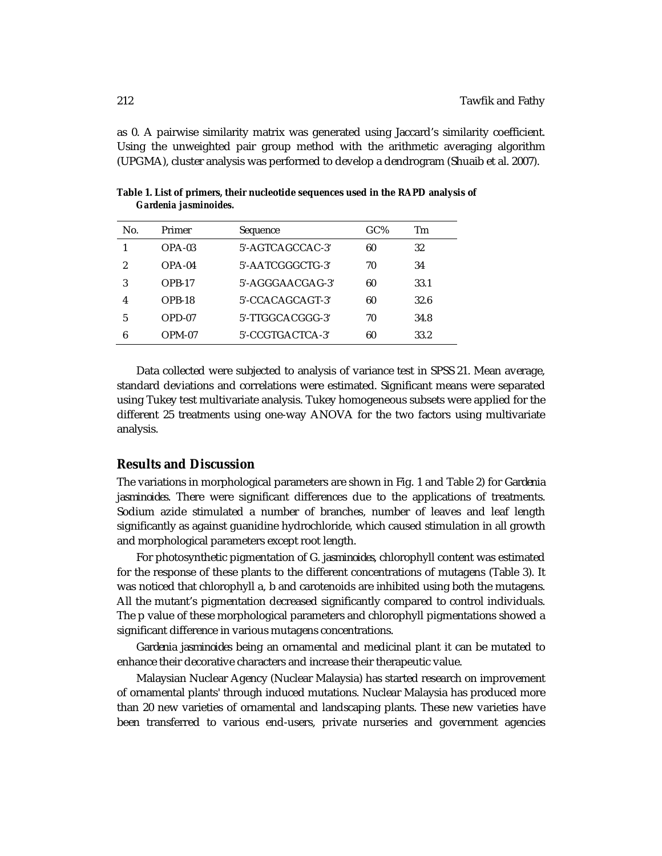as 0. A pairwise similarity matrix was generated using Jaccard's similarity coefficient. Using the unweighted pair group method with the arithmetic averaging algorithm (UPGMA), cluster analysis was performed to develop a dendrogram (Shuaib et al. 2007).

| No. | Primer   | Sequence            | GC% | Тm   |
|-----|----------|---------------------|-----|------|
|     | $OPA-03$ | $5'$ -AGTCAGCCAC-3' | 60  | 32   |
| 2   | $OPA-04$ | 5'-AATCGGGCTG-3'    | 70  | 34   |
| 3   | $OPB-17$ | $5'$ -AGGGAACGAG-3' | 60  | 33.1 |
| 4   | OPB-18   | $5'$ -CCACAGCAGT-3' | 60  | 32.6 |
| 5   | OPD-07   | 5'-TTGGCACGGG-3'    | 70  | 34.8 |
| 6   | OPM-07   | 5'-CCGTGACTCA-3'    | 60  | 33.2 |
|     |          |                     |     |      |

**Table 1. List of primers, their nucleotide sequences used in the RAPD analysis of**  *Gardenia jasminoides.*

Data collected were subjected to analysis of variance test in SPSS 21. Mean average, standard deviations and correlations were estimated. Significant means were separated using Tukey test multivariate analysis. Tukey homogeneous subsets were applied for the different 25 treatments using one-way ANOVA for the two factors using multivariate analysis.

## **Results and Discussion**

The variations in morphological parameters are shown in Fig. 1 and Table 2) for *Gardenia jasminoides*. There were significant differences due to the applications of treatments. Sodium azide stimulated a number of branches, number of leaves and leaf length significantly as against guanidine hydrochloride, which caused stimulation in all growth and morphological parameters except root length.

For photosynthetic pigmentation of *G. jasminoides*, chlorophyll content was estimated for the response of these plants to the different concentrations of mutagens (Table 3). It was noticed that chlorophyll a, b and carotenoids are inhibited using both the mutagens. All the mutant's pigmentation decreased significantly compared to control individuals. The p value of these morphological parameters and chlorophyll pigmentations showed a significant difference in various mutagens concentrations.

*Gardenia jasminoides* being an ornamental and medicinal plant it can be mutated to enhance their decorative characters and increase their therapeutic value.

Malaysian Nuclear Agency (Nuclear Malaysia) has started research on improvement of ornamental plants' through induced mutations. Nuclear Malaysia has produced more than 20 new varieties of ornamental and landscaping plants. These new varieties have been transferred to various end-users, private nurseries and government agencies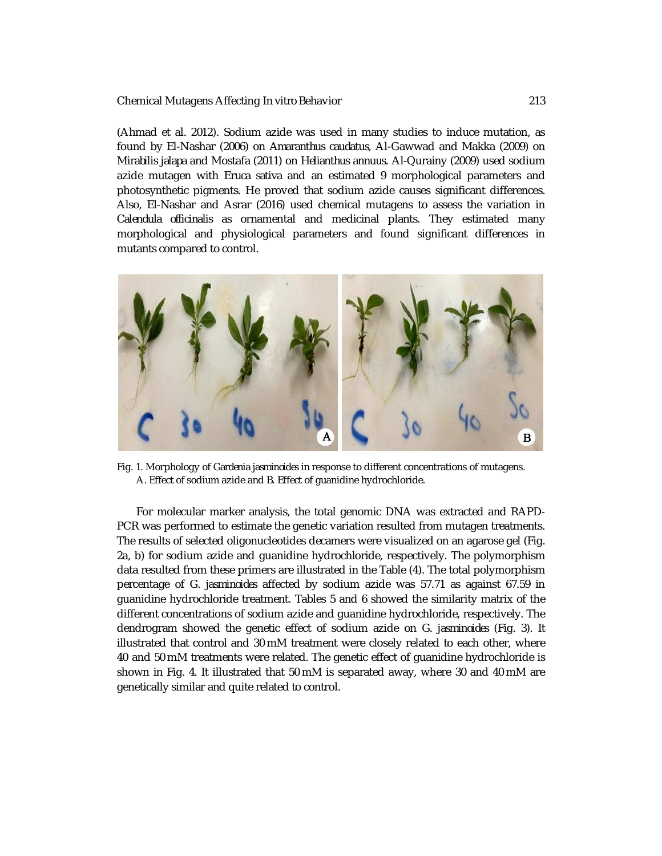(Ahmad et al. 2012). Sodium azide was used in many studies to induce mutation, as found by El-Nashar (2006) on *Amaranthus caudatus*, Al-Gawwad and Makka (2009) on *Mirabilis jalapa* and Mostafa (2011) on *Helianthus annuus*. Al-Qurainy (2009) used sodium azide mutagen with *Eruca sativa* and an estimated 9 morphological parameters and photosynthetic pigments. He proved that sodium azide causes significant differences. Also, El-Nashar and Asrar (2016) used chemical mutagens to assess the variation in *Calendula officinalis* as ornamental and medicinal plants. They estimated many morphological and physiological parameters and found significant differences in mutants compared to control.



Fig. 1. Morphology of *Gardenia jasminoides* in response to different concentrations of mutagens. A. Effect of sodium azide and B. Effect of guanidine hydrochloride.

For molecular marker analysis, the total genomic DNA was extracted and RAPD-PCR was performed to estimate the genetic variation resulted from mutagen treatments. The results of selected oligonucleotides decamers were visualized on an agarose gel (Fig. 2a, b) for sodium azide and guanidine hydrochloride, respectively. The polymorphism data resulted from these primers are illustrated in the Table (4). The total polymorphism percentage of *G. jasminoides* affected by sodium azide was 57.71 as against 67.59 in guanidine hydrochloride treatment. Tables 5 and 6 showed the similarity matrix of the different concentrations of sodium azide and guanidine hydrochloride, respectively. The dendrogram showed the genetic effect of sodium azide on *G. jasminoides* (Fig. 3). It illustrated that control and 30 mM treatment were closely related to each other, where 40 and 50 mM treatments were related. The genetic effect of guanidine hydrochloride is shown in Fig. 4. It illustrated that 50 mM is separated away, where 30 and 40 mM are genetically similar and quite related to control.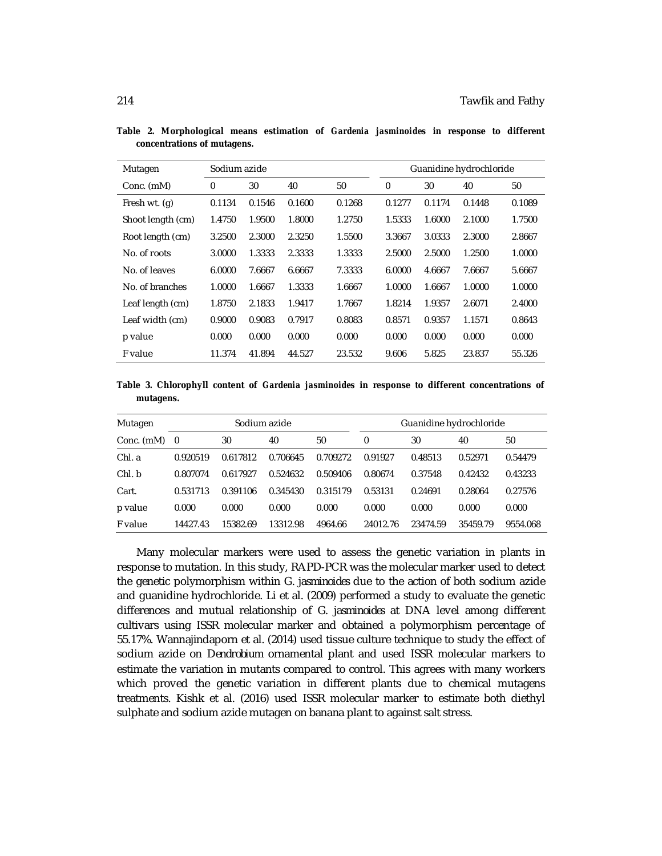| Mutagen           | Sodium azide |        |        | Guanidine hydrochloride |        |        |        |        |
|-------------------|--------------|--------|--------|-------------------------|--------|--------|--------|--------|
| Conc. (mM)        | $\mathbf 0$  | 30     | 40     | 50                      | 0      | 30     | 40     | 50     |
| Fresh wt. (g)     | 0.1134       | 0.1546 | 0.1600 | 0.1268                  | 0.1277 | 0.1174 | 0.1448 | 0.1089 |
| Shoot length (cm) | 1.4750       | 1.9500 | 1.8000 | 1.2750                  | 1.5333 | 1.6000 | 2.1000 | 1.7500 |
| Root length (cm)  | 3.2500       | 2.3000 | 2.3250 | 1.5500                  | 3.3667 | 3.0333 | 2.3000 | 2.8667 |
| No. of roots      | 3.0000       | 1.3333 | 2.3333 | 1.3333                  | 2.5000 | 2.5000 | 1.2500 | 1.0000 |
| No. of leaves     | 6.0000       | 7.6667 | 6.6667 | 7.3333                  | 6.0000 | 4.6667 | 7.6667 | 5.6667 |
| No. of branches   | 1.0000       | 1.6667 | 1.3333 | 1.6667                  | 1.0000 | 1.6667 | 1.0000 | 1.0000 |
| Leaf length (cm)  | 1.8750       | 2.1833 | 1.9417 | 1.7667                  | 1.8214 | 1.9357 | 2.6071 | 2.4000 |
| Leaf width (cm)   | 0.9000       | 0.9083 | 0.7917 | 0.8083                  | 0.8571 | 0.9357 | 1.1571 | 0.8643 |
| p value           | 0.000        | 0.000  | 0.000  | 0.000                   | 0.000  | 0.000  | 0.000  | 0.000  |
| F value           | 11.374       | 41.894 | 44.527 | 23.532                  | 9.606  | 5.825  | 23.837 | 55.326 |

**Table 2. Morphological means estimation of** *Gardenia jasminoides* **in response to different concentrations of mutagens.**

**Table 3. Chlorophyll content of** *Gardenia jasminoides* **in response to different concentrations of mutagens.**

| Mutagen    | Sodium azide |          |          | Guanidine hydrochloride |          |          |          |          |
|------------|--------------|----------|----------|-------------------------|----------|----------|----------|----------|
| Conc. (mM) | - 0          | 30       | 40       | 50                      | $\Omega$ | 30       | 40       | 50       |
| Chl. a     | 0.920519     | 0.617812 | 0.706645 | 0.709272                | 0.91927  | 0.48513  | 0.52971  | 0.54479  |
| Chl.b      | 0.807074     | 0.617927 | 0.524632 | 0.509406                | 0.80674  | 0.37548  | 0.42432  | 0.43233  |
| Cart.      | 0.531713     | 0.391106 | 0.345430 | 0.315179                | 0.53131  | 0.24691  | 0.28064  | 0.27576  |
| p value    | 0.000        | 0.000    | 0.000    | 0.000                   | 0.000    | 0.000    | 0.000    | 0.000    |
| F value    | 14427.43     | 15382.69 | 13312.98 | 4964.66                 | 24012.76 | 23474.59 | 35459.79 | 9554.068 |

Many molecular markers were used to assess the genetic variation in plants in response to mutation. In this study, RAPD-PCR was the molecular marker used to detect the genetic polymorphism within *G. jasminoides* due to the action of both sodium azide and guanidine hydrochloride. Li et al. (2009) performed a study to evaluate the genetic differences and mutual relationship of *G. jasminoides* at DNA level among different cultivars using ISSR molecular marker and obtained a polymorphism percentage of 55.17%. Wannajindaporn et al. (2014) used tissue culture technique to study the effect of sodium azide on *Dendrobium* ornamental plant and used ISSR molecular markers to estimate the variation in mutants compared to control. This agrees with many workers which proved the genetic variation in different plants due to chemical mutagens treatments. Kishk et al. (2016) used ISSR molecular marker to estimate both diethyl sulphate and sodium azide mutagen on banana plant to against salt stress.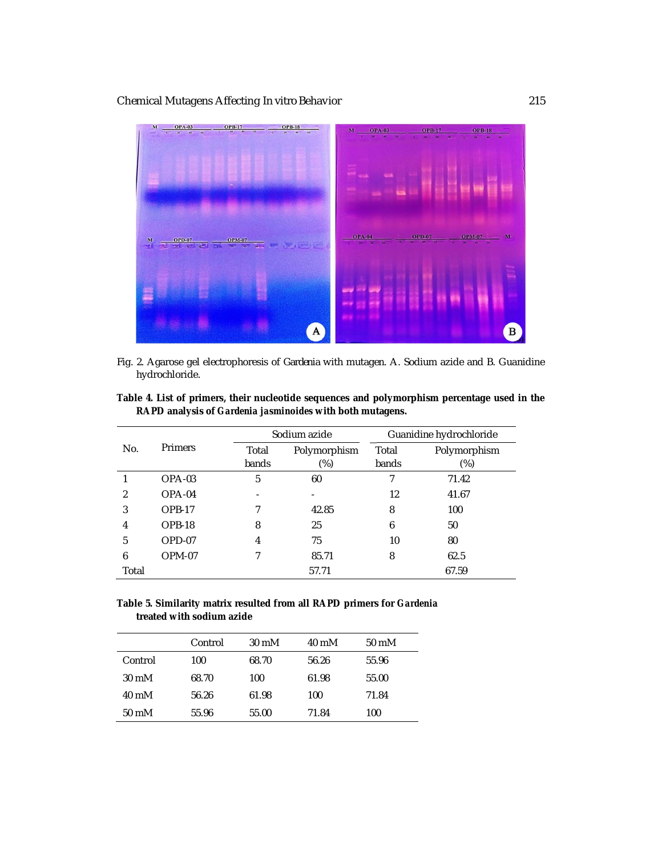

Fig. 2. Agarose gel electrophoresis of *Gardenia* with mutagen. A. Sodium azide and B. Guanidine hydrochloride.

| Table 4. List of primers, their nucleotide sequences and polymorphism percentage used in the |  |
|----------------------------------------------------------------------------------------------|--|
| RAPD analysis of Gardenia jasminoides with both mutagens.                                    |  |

|                |         |                | Sodium azide           |                | Guanidine hydrochloride |  |  |
|----------------|---------|----------------|------------------------|----------------|-------------------------|--|--|
| No.            | Primers | Total<br>bands | Polymorphism<br>$(\%)$ | Total<br>bands | Polymorphism<br>$(\%)$  |  |  |
|                | OPA-03  | 5              | 60                     |                | 71.42                   |  |  |
| $\mathfrak{p}$ | OPA-04  |                |                        | 12             | 41.67                   |  |  |
| 3              | OPB-17  |                | 42.85                  | 8              | 100                     |  |  |
| 4              | OPB-18  | 8              | 25                     | 6              | 50                      |  |  |
| 5              | OPD-07  | 4              | 75                     | 10             | 80                      |  |  |
| 6              | OPM-07  |                | 85.71                  | 8              | 62.5                    |  |  |
| Total          |         |                | 57.71                  |                | 67.59                   |  |  |

## **Table 5. Similarity matrix resulted from all RAPD primers for** *Gardenia* **treated with sodium azide**

|                 | Control | $30 \text{ mM}$ | 40 mM | $50 \text{ mM}$ |
|-----------------|---------|-----------------|-------|-----------------|
| Control         | 100     | 68.70           | 56.26 | 55.96           |
| $30 \text{ mM}$ | 68.70   | 100             | 61.98 | 55.00           |
| 40 mM           | 56.26   | 61.98           | 100   | 71.84           |
| $50 \text{ mM}$ | 55.96   | 55.00           | 71.84 | 100             |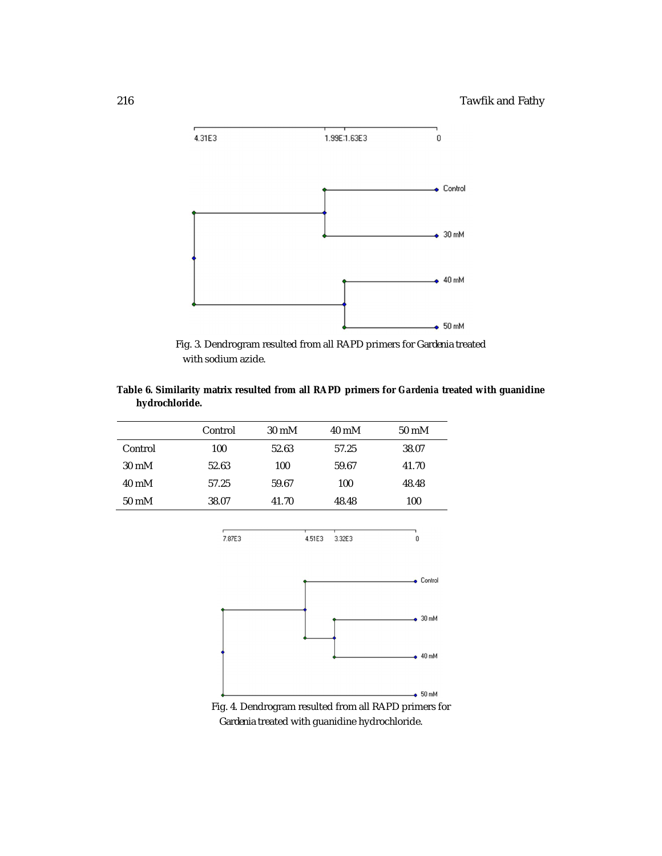

Fig. 3. Dendrogram resulted from all RAPD primers for *Gardenia* treated with sodium azide.

## **Table 6. Similarity matrix resulted from all RAPD primers for** *Gardenia* **treated with guanidine hydrochloride.**

|                 | Control | $30 \text{ mM}$ | 40 mM | 50 mM |
|-----------------|---------|-----------------|-------|-------|
| Control         | 100     | 52.63           | 57.25 | 38.07 |
| $30 \text{ mM}$ | 52.63   | 100             | 59.67 | 41.70 |
| 40 mM           | 57.25   | 59.67           | 100   | 48.48 |
| $50 \text{ mM}$ | 38.07   | 41.70           | 48.48 | 100   |

.<br>7.87E3 4.51E3 3.32E3



 $\,0\,$ 

Fig. 4. Dendrogram resulted from all RAPD primers for  *Gardenia* treated with guanidine hydrochloride.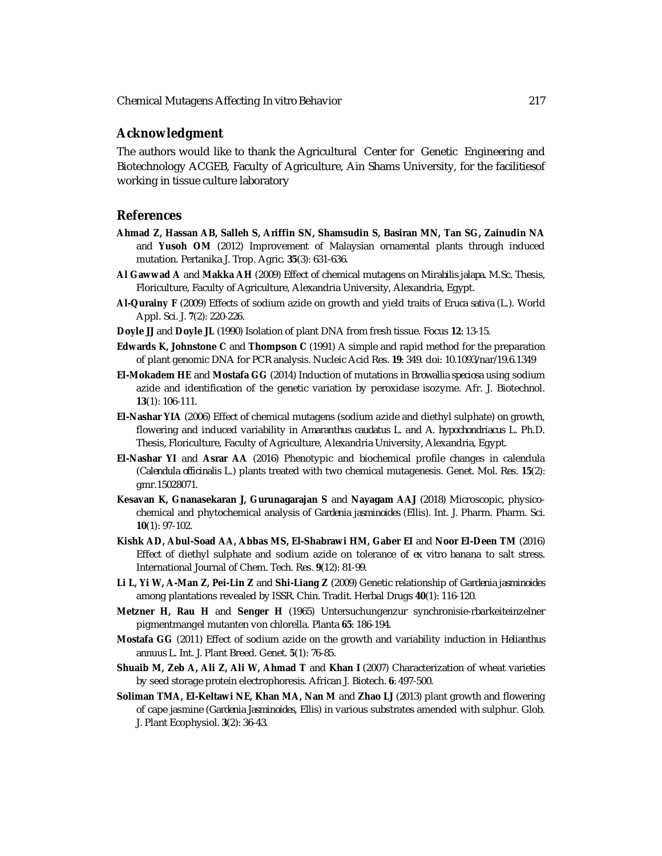## **Acknowledgment**

The authors would like to thank the Agricultural Center for Genetic Engineering and Biotechnology ACGEB, Faculty of Agriculture, Ain Shams University, for the facilitiesof working in tissue culture laboratory

## **References**

- **Ahmad Z, Hassan AB, Salleh S, Ariffin SN, Shamsudin S, Basiran MN, Tan SG, Zainudin NA** and **Yusoh OM** (2012) Improvement of Malaysian ornamental plants through induced mutation. Pertanika J. Trop. Agric. **35**(3): 631-636.
- **Al Gawwad A** and **Makka AH** (2009) Effect of chemical mutagens on *Mirabilis jalapa*. M.Sc. Thesis, Floriculture, Faculty of Agriculture, Alexandria University, Alexandria, Egypt.
- **Al-Qurainy F** (2009) Effects of sodium azide on growth and yield traits of *Eruca sativa* (L.). World Appl. Sci. J. **7**(2): 220-226.
- **Doyle JJ** and **Doyle JL** (1990) Isolation of plant DNA from fresh tissue. Focus **12**: 13-15.
- **Edwards K, Johnstone C** and **Thompson C** (1991) A simple and rapid method for the preparation of plant genomic DNA for PCR analysis. Nucleic Acid Res. **19**: 349. doi: 10.1093/nar/19.6.1349
- **El-Mokadem HE** and **Mostafa GG** (2014) Induction of mutations in *Browallia speciosa* using sodium azide and identification of the genetic variation by peroxidase isozyme. Afr. J. Biotechnol. **13**(1): 106-111.
- **El-Nashar YIA** (2006) Effect of chemical mutagens (sodium azide and diethyl sulphate) on growth, flowering and induced variability in *Amaranthus caudatus* L. and *A. hypochondriacus* L. Ph.D. Thesis, Floriculture, Faculty of Agriculture, Alexandria University, Alexandria, Egypt.
- **El-Nashar YI** and **Asrar AA** (2016) Phenotypic and biochemical profile changes in calendula (*Calendula officinalis* L.) plants treated with two chemical mutagenesis. Genet. Mol. Res. **15**(2): gmr.15028071.
- **Kesavan K, Gnanasekaran J, Gurunagarajan S** and **Nayagam AAJ** (2018) Microscopic, physicochemical and phytochemical analysis of *Gardenia jasminoides* (Ellis). Int. J. Pharm. Pharm. Sci. **10**(1): 97-102.
- **Kishk AD, Abul-Soad AA, Abbas MS, El-Shabrawi HM, Gaber EI** and **Noor El-Deen TM** (2016) Effect of diethyl sulphate and sodium azide on tolerance of *ex vitro* banana to salt stress. International Journal of Chem. Tech. Res. **9**(12): 81-99.
- **Li L, Yi W, A-Man Z, Pei-Lin Z** and **Shi-Liang Z** (2009) Genetic relationship of *Gardenia jasminoides* among plantations revealed by ISSR. Chin. Tradit. Herbal Drugs **40**(1): 116-120.
- **Metzner H, Rau H** and **Senger H** (1965) Untersuchungenzur synchronisie-rbarkeiteinzelner pigmentmangel mutanten von chlorella. Planta **65**: 186-194.
- **Mostafa GG** (2011) Effect of sodium azide on the growth and variability induction in *Helianthus annuus* L. Int. J. Plant Breed. Genet. **5**(1): 76-85.
- **Shuaib M, Zeb A, Ali Z, Ali W, Ahmad T** and **Khan I** (2007) Characterization of wheat varieties by seed storage protein electrophoresis. African J. Biotech. **6**: 497-500.
- **Soliman TMA, El-Keltawi NE, Khan MA, Nan M** and **Zhao LJ** (2013) plant growth and flowering of cape jasmine (*Gardenia Jasminoides*, Ellis) in various substrates amended with sulphur. Glob. J. Plant Ecophysiol. **3**(2): 36-43.